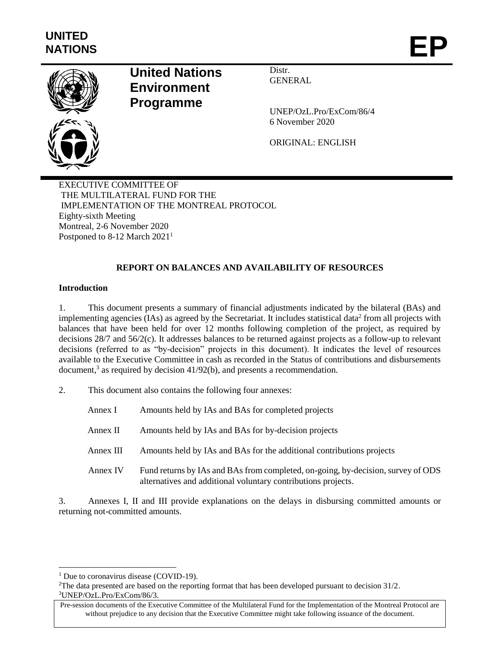

# **United Nations Environment Programme**

Distr. **GENERAL** 

UNEP/OzL.Pro/ExCom/86/4 6 November 2020

ORIGINAL: ENGLISH

EXECUTIVE COMMITTEE OF THE MULTILATERAL FUND FOR THE IMPLEMENTATION OF THE MONTREAL PROTOCOL Eighty-sixth Meeting Montreal, 2-6 November 2020 Postponed to 8-12 March 2021<sup>1</sup>

# **REPORT ON BALANCES AND AVAILABILITY OF RESOURCES**

## **Introduction**

1. This document presents a summary of financial adjustments indicated by the bilateral (BAs) and implementing agencies (IAs) as agreed by the Secretariat. It includes statistical data<sup>2</sup> from all projects with balances that have been held for over 12 months following completion of the project, as required by decisions 28/7 and 56/2(c). It addresses balances to be returned against projects as a follow-up to relevant decisions (referred to as "by-decision" projects in this document). It indicates the level of resources available to the Executive Committee in cash as recorded in the Status of contributions and disbursements document,<sup>3</sup> as required by decision 41/92(b), and presents a recommendation.

2. This document also contains the following four annexes:

| Annex I   | Amounts held by IAs and BAs for completed projects                                                                                                |
|-----------|---------------------------------------------------------------------------------------------------------------------------------------------------|
| Annex II  | Amounts held by IAs and BAs for by-decision projects                                                                                              |
| Annex III | Amounts held by IAs and BAs for the additional contributions projects                                                                             |
| Annex IV  | Fund returns by IAs and BAs from completed, on-going, by-decision, survey of ODS<br>alternatives and additional voluntary contributions projects. |

3. Annexes I, II and III provide explanations on the delays in disbursing committed amounts or returning not-committed amounts.

l

<sup>&</sup>lt;sup>1</sup> Due to coronavirus disease (COVID-19).

<sup>&</sup>lt;sup>2</sup>The data presented are based on the reporting format that has been developed pursuant to decision  $31/2$ . 3UNEP/OzL.Pro/ExCom/86/3.

Pre-session documents of the Executive Committee of the Multilateral Fund for the Implementation of the Montreal Protocol are without prejudice to any decision that the Executive Committee might take following issuance of the document.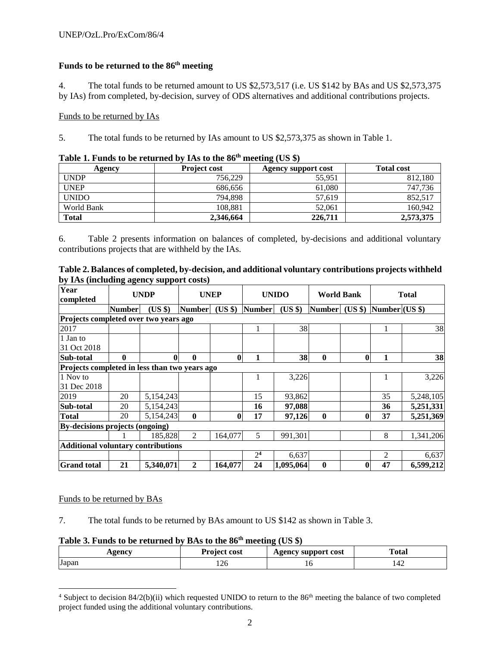## **Funds to be returned to the 86 th meeting**

4. The total funds to be returned amount to US \$2,573,517 (i.e. US \$142 by BAs and US \$2,573,375 by IAs) from completed, by-decision, survey of ODS alternatives and additional contributions projects.

## Funds to be returned by IAs

5. The total funds to be returned by IAs amount to US \$2,573,375 as shown in Table 1.

| Agency       | <b>Project cost</b> | Agency support cost | <b>Total cost</b> |
|--------------|---------------------|---------------------|-------------------|
| <b>UNDP</b>  | 756,229             | 55.951              | 812,180           |
| <b>UNEP</b>  | 686.656             | 61.080              | 747,736           |
| <b>UNIDO</b> | 794.898             | 57.619              | 852,517           |
| World Bank   | 108.881             | 52,061              | 160.942           |
| <b>Total</b> | 2,346,664           | 226,711             | 2,573,375         |

## **Table 1. Funds to be returned by IAs to the 86 th meeting (US \$)**

6. Table 2 presents information on balances of completed, by-decisions and additional voluntary contributions projects that are withheld by the IAs.

|                                         | Table 2. Balances of completed, by-decision, and additional voluntary contributions projects withheld |
|-----------------------------------------|-------------------------------------------------------------------------------------------------------|
| by IAs (including agency support costs) |                                                                                                       |

| Year<br>completed                             |               | <b>UNDP</b> | <b>UNEP</b>   |          |                | <b>UNIDO</b> | <b>World Bank</b> |              |                          | <b>Total</b> |
|-----------------------------------------------|---------------|-------------|---------------|----------|----------------|--------------|-------------------|--------------|--------------------------|--------------|
|                                               | <b>Number</b> | (US \$)     | <b>Number</b> | $(US \$  | Number         | (US \$)      | <b>Number</b>     |              | $(US $)$ Number $(US $)$ |              |
| Projects completed over two years ago         |               |             |               |          |                |              |                   |              |                          |              |
| 2017                                          |               |             |               |          |                | 38           |                   |              | 1.                       | 38           |
| 1 Jan to                                      |               |             |               |          |                |              |                   |              |                          |              |
| 31 Oct 2018                                   |               |             |               |          |                |              |                   |              |                          |              |
| Sub-total                                     | $\mathbf{0}$  | 0           | $\mathbf{0}$  | $\bf{0}$ | 1              | 38           | $\boldsymbol{0}$  | $\bf{0}$     | 1                        | 38           |
| Projects completed in less than two years ago |               |             |               |          |                |              |                   |              |                          |              |
| 1 Nov to                                      |               |             |               |          |                | 3,226        |                   |              | 1                        | 3,226        |
| 31 Dec 2018                                   |               |             |               |          |                |              |                   |              |                          |              |
| 2019                                          | 20            | 5,154,243   |               |          | 15             | 93,862       |                   |              | 35                       | 5,248,105    |
| Sub-total                                     | 20            | 5,154,243   |               |          | 16             | 97,088       |                   |              | 36                       | 5,251,331    |
| <b>Total</b>                                  | 20            | 5,154,243   | $\mathbf{0}$  | 0        | 17             | 97,126       | $\mathbf{0}$      | 0            | 37                       | 5,251,369    |
| By-decisions projects (ongoing)               |               |             |               |          |                |              |                   |              |                          |              |
|                                               |               | 185,828     | 2             | 164,077  | 5              | 991,301      |                   |              | 8                        | 1,341,206    |
| <b>Additional voluntary contributions</b>     |               |             |               |          |                |              |                   |              |                          |              |
|                                               |               |             |               |          | 2 <sup>4</sup> | 6,637        |                   |              | 2                        | 6,637        |
| <b>Grand</b> total                            | 21            | 5,340,071   | $\mathbf{2}$  | 164,077  | 24             | 1,095,064    | $\mathbf{0}$      | $\mathbf{0}$ | 47                       | 6,599,212    |

## Funds to be returned by BAs

 $\overline{\phantom{a}}$ 

7. The total funds to be returned by BAs amount to US \$142 as shown in Table 3.

## **Table 3. Funds to be returned by BAs to the 86th meeting (US \$)**

| 0.0300<br>1.8 | Project.<br>cost | support cost<br>0.03007<br>$  \leq$ $\leq$ $\leq$ | Fotal |
|---------------|------------------|---------------------------------------------------|-------|
| -<br>Japan    | 140              | τÓ                                                | 144   |

 $4$  Subject to decision 84/2(b)(ii) which requested UNIDO to return to the  $86<sup>th</sup>$  meeting the balance of two completed project funded using the additional voluntary contributions.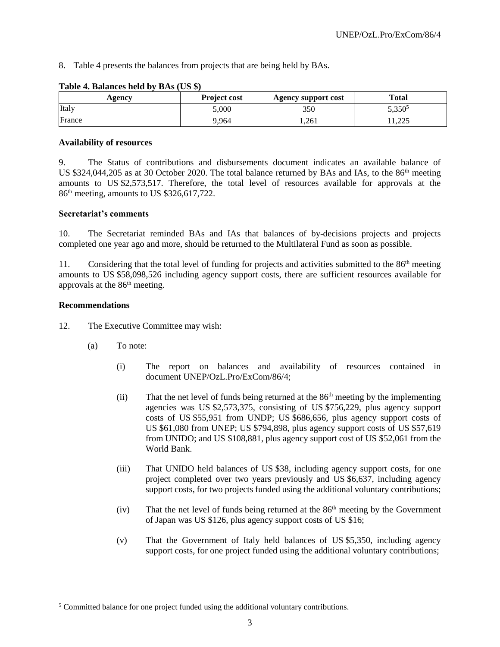8. Table 4 presents the balances from projects that are being held by BAs.

| Agency | <b>Project cost</b> | <b>Agency support cost</b> | <b>Total</b>                  |
|--------|---------------------|----------------------------|-------------------------------|
| Italy  | 5,000               | 350                        | 5,350 <sup>5</sup>            |
| France | 9.964               | 1,261                      | $\Delta \mathcal{L}$<br>1.444 |

#### **Table 4. Balances held by BAs (US \$)**

#### **Availability of resources**

9. The Status of contributions and disbursements document indicates an available balance of US  $$324,044,205$  as at 30 October 2020. The total balance returned by BAs and IAs, to the  $86<sup>th</sup>$  meeting amounts to US \$2,573,517. Therefore, the total level of resources available for approvals at the 86th meeting, amounts to US \$326,617,722.

## **Secretariat's comments**

10. The Secretariat reminded BAs and IAs that balances of by-decisions projects and projects completed one year ago and more, should be returned to the Multilateral Fund as soon as possible.

11. Considering that the total level of funding for projects and activities submitted to the 86<sup>th</sup> meeting amounts to US \$58,098,526 including agency support costs, there are sufficient resources available for approvals at the 86<sup>th</sup> meeting.

#### **Recommendations**

 $\overline{a}$ 

- 12. The Executive Committee may wish:
	- (a) To note:
		- (i) The report on balances and availability of resources contained in document UNEP/OzL.Pro/ExCom/86/4;
		- $(i)$  That the net level of funds being returned at the  $86<sup>th</sup>$  meeting by the implementing agencies was US \$2,573,375, consisting of US \$756,229, plus agency support costs of US \$55,951 from UNDP; US \$686,656, plus agency support costs of US \$61,080 from UNEP; US \$794,898, plus agency support costs of US \$57,619 from UNIDO; and US \$108,881, plus agency support cost of US \$52,061 from the World Bank.
		- (iii) That UNIDO held balances of US \$38, including agency support costs, for one project completed over two years previously and US \$6,637, including agency support costs, for two projects funded using the additional voluntary contributions;
		- (iv) That the net level of funds being returned at the  $86<sup>th</sup>$  meeting by the Government of Japan was US \$126, plus agency support costs of US \$16;
		- (v) That the Government of Italy held balances of US \$5,350, including agency support costs, for one project funded using the additional voluntary contributions;

 $5$  Committed balance for one project funded using the additional voluntary contributions.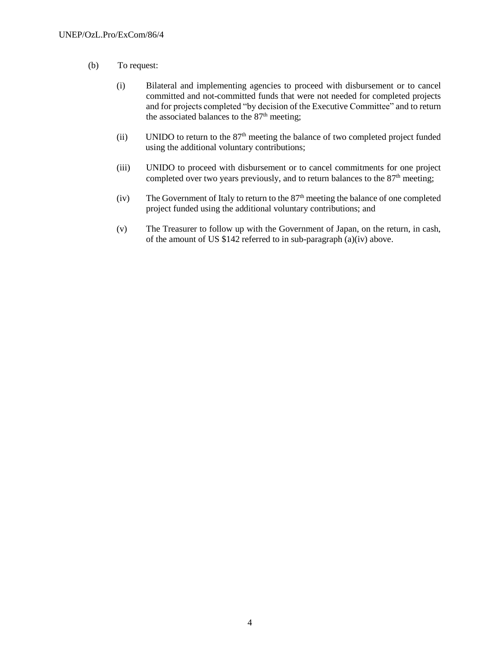- (b) To request:
	- (i) Bilateral and implementing agencies to proceed with disbursement or to cancel committed and not-committed funds that were not needed for completed projects and for projects completed "by decision of the Executive Committee" and to return the associated balances to the  $87<sup>th</sup>$  meeting;
	- (ii) UNIDO to return to the 87<sup>th</sup> meeting the balance of two completed project funded using the additional voluntary contributions;
	- (iii) UNIDO to proceed with disbursement or to cancel commitments for one project completed over two years previously, and to return balances to the 87<sup>th</sup> meeting;
	- (iv) The Government of Italy to return to the  $87<sup>th</sup>$  meeting the balance of one completed project funded using the additional voluntary contributions; and
	- (v) The Treasurer to follow up with the Government of Japan, on the return, in cash, of the amount of US  $$142$  referred to in sub-paragraph (a)(iv) above.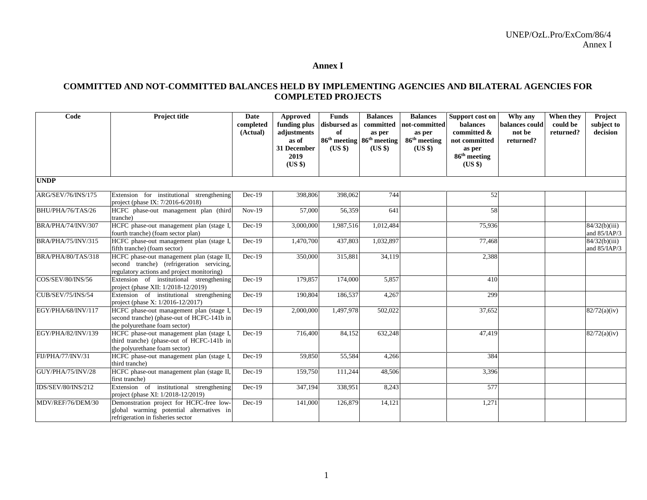#### **Annex I**

## **COMMITTED AND NOT-COMMITTED BALANCES HELD BY IMPLEMENTING AGENCIES AND BILATERAL AGENCIES FOR COMPLETED PROJECTS**

| Code               | <b>Project title</b>                                                                                                                 | Date<br>completed<br>(Actual) | Approved<br>funding plus<br>adjustments<br>as of<br>31 December<br>2019<br>(US \$) | <b>Funds</b><br>disbursed as<br>of<br>(US \$) | <b>Balances</b><br>committed<br>as per<br>86 <sup>th</sup> meeting 86 <sup>th</sup> meeting<br>$(US \$ | <b>Balances</b><br>not-committed<br>as per<br>86 <sup>th</sup> meeting<br>$(US \$ | Support cost on<br>balances<br>committed &<br>not committed<br>as per<br>86 <sup>th</sup> meeting<br>(US \$) | Why any<br>balances could<br>not be<br>returned? | When they<br>could be<br>returned? | Project<br>subject to<br>decision |
|--------------------|--------------------------------------------------------------------------------------------------------------------------------------|-------------------------------|------------------------------------------------------------------------------------|-----------------------------------------------|--------------------------------------------------------------------------------------------------------|-----------------------------------------------------------------------------------|--------------------------------------------------------------------------------------------------------------|--------------------------------------------------|------------------------------------|-----------------------------------|
| <b>UNDP</b>        |                                                                                                                                      |                               |                                                                                    |                                               |                                                                                                        |                                                                                   |                                                                                                              |                                                  |                                    |                                   |
| ARG/SEV/76/INS/175 | Extension for institutional strengthening<br>project (phase IX: 7/2016-6/2018)                                                       | $Dec-19$                      | 398,806                                                                            | 398,062                                       | 744                                                                                                    |                                                                                   | 52                                                                                                           |                                                  |                                    |                                   |
| BHU/PHA/76/TAS/26  | HCFC phase-out management plan (third<br>tranche)                                                                                    | $Nov-19$                      | 57,000                                                                             | 56,359                                        | 641                                                                                                    |                                                                                   | 58                                                                                                           |                                                  |                                    |                                   |
| BRA/PHA/74/INV/307 | HCFC phase-out management plan (stage I,<br>fourth tranche) (foam sector plan)                                                       | $Dec-19$                      | 3,000,000                                                                          | 1,987,516                                     | 1,012,484                                                                                              |                                                                                   | 75,936                                                                                                       |                                                  |                                    | 84/32(b)(iii)<br>and 85/IAP/3     |
| BRA/PHA/75/INV/315 | HCFC phase-out management plan (stage I,<br>fifth tranche) (foam sector)                                                             | $Dec-19$                      | 1,470,700                                                                          | 437,803                                       | 1,032,897                                                                                              |                                                                                   | 77,468                                                                                                       |                                                  |                                    | 84/32(b)(iii)<br>and $85/IAP/3$   |
| BRA/PHA/80/TAS/318 | HCFC phase-out management plan (stage II,<br>second tranche) (refrigeration servicing,<br>regulatory actions and project monitoring) | $Dec-19$                      | 350,000                                                                            | 315,881                                       | 34,119                                                                                                 |                                                                                   | 2,388                                                                                                        |                                                  |                                    |                                   |
| COS/SEV/80/INS/56  | Extension of institutional strengthening<br>project (phase XII: 1/2018-12/2019)                                                      | $Dec-19$                      | 179,857                                                                            | 174,000                                       | 5,857                                                                                                  |                                                                                   | 410                                                                                                          |                                                  |                                    |                                   |
| CUB/SEV/75/INS/54  | Extension of institutional strengthening<br>project (phase X: 1/2016-12/2017)                                                        | $Dec-19$                      | 190,804                                                                            | 186,537                                       | 4,267                                                                                                  |                                                                                   | 299                                                                                                          |                                                  |                                    |                                   |
| EGY/PHA/68/INV/117 | HCFC phase-out management plan (stage I,<br>second tranche) (phase-out of HCFC-141b in<br>the polyurethane foam sector)              | $Dec-19$                      | 2,000,000                                                                          | 1,497,978                                     | 502,022                                                                                                |                                                                                   | 37,652                                                                                                       |                                                  |                                    | 82/72(a)(iv)                      |
| EGY/PHA/82/INV/139 | HCFC phase-out management plan (stage I,<br>third tranche) (phase-out of HCFC-141b in<br>the polyurethane foam sector)               | $Dec-19$                      | 716,400                                                                            | 84,152                                        | 632,248                                                                                                |                                                                                   | 47,419                                                                                                       |                                                  |                                    | 82/72(a)(iv)                      |
| FIJ/PHA/77/INV/31  | HCFC phase-out management plan (stage I,<br>third tranche)                                                                           | $Dec-19$                      | 59,850                                                                             | 55,584                                        | 4,266                                                                                                  |                                                                                   | 384                                                                                                          |                                                  |                                    |                                   |
| GUY/PHA/75/INV/28  | HCFC phase-out management plan (stage II,<br>first tranche)                                                                          | $Dec-19$                      | 159,750                                                                            | 111,244                                       | 48,506                                                                                                 |                                                                                   | 3,396                                                                                                        |                                                  |                                    |                                   |
| IDS/SEV/80/INS/212 | Extension of institutional strengthening<br>project (phase XI: 1/2018-12/2019)                                                       | $Dec-19$                      | 347,194                                                                            | 338,951                                       | 8,243                                                                                                  |                                                                                   | 577                                                                                                          |                                                  |                                    |                                   |
| MDV/REF/76/DEM/30  | Demonstration project for HCFC-free low-<br>global warming potential alternatives in<br>refrigeration in fisheries sector            | $Dec-19$                      | 141,000                                                                            | 126,879                                       | 14,121                                                                                                 |                                                                                   | 1,271                                                                                                        |                                                  |                                    |                                   |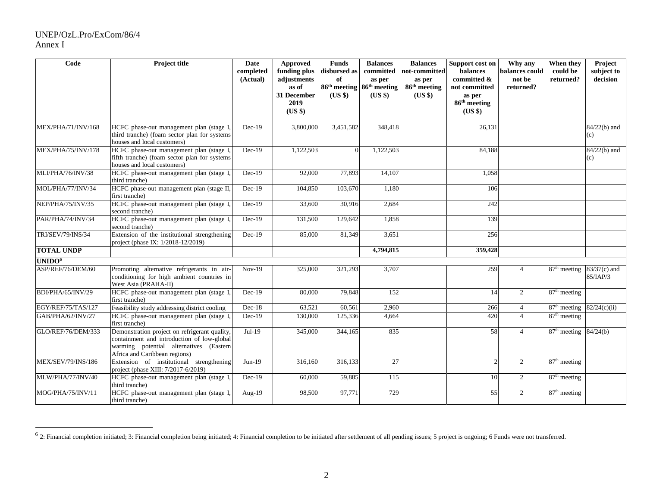## UNEP/OzL.Pro/ExCom/86/4 Annex I

| Code                      | <b>Project title</b>                                                                                                                                                    | Date<br>completed<br>(Actual) | Approved<br>funding plus<br>adjustments<br>as of<br>31 December<br>2019<br>(US \$) | <b>Funds</b><br>disbursed as<br>of<br>(USS) | <b>Balances</b><br>committed<br>as per<br>86 <sup>th</sup> meeting 86 <sup>th</sup> meeting<br>$(US \$ | <b>Balances</b><br>not-committed<br>as per<br>86 <sup>th</sup> meeting<br>(US \$) | Support cost on<br>balances<br>committed &<br>not committed<br>as per<br>86 <sup>th</sup> meeting<br>$(US \$ | Why any<br>balances could<br>not be<br>returned? | When they<br>could be<br>returned? | Project<br>subject to<br>decision |
|---------------------------|-------------------------------------------------------------------------------------------------------------------------------------------------------------------------|-------------------------------|------------------------------------------------------------------------------------|---------------------------------------------|--------------------------------------------------------------------------------------------------------|-----------------------------------------------------------------------------------|--------------------------------------------------------------------------------------------------------------|--------------------------------------------------|------------------------------------|-----------------------------------|
| MEX/PHA/71/INV/168        | HCFC phase-out management plan (stage I,<br>third tranche) (foam sector plan for systems<br>houses and local customers)                                                 | $Dec-19$                      | 3,800,000                                                                          | 3,451,582                                   | 348,418                                                                                                |                                                                                   | 26,131                                                                                                       |                                                  |                                    | $84/22(b)$ and<br>(c)             |
| MEX/PHA/75/INV/178        | HCFC phase-out management plan (stage I,<br>fifth tranche) (foam sector plan for systems<br>houses and local customers)                                                 | $Dec-19$                      | 1,122,503                                                                          | $\Omega$                                    | 1,122,503                                                                                              |                                                                                   | 84,188                                                                                                       |                                                  |                                    | $84/22(b)$ and<br>(c)             |
| MLI/PHA/76/INV/38         | HCFC phase-out management plan (stage I,<br>third tranche)                                                                                                              | $Dec-19$                      | 92,000                                                                             | 77,893                                      | 14,107                                                                                                 |                                                                                   | 1,058                                                                                                        |                                                  |                                    |                                   |
| MOL/PHA/77/INV/34         | HCFC phase-out management plan (stage II,<br>first tranche)                                                                                                             | $Dec-19$                      | 104,850                                                                            | 103,670                                     | 1,180                                                                                                  |                                                                                   | 106                                                                                                          |                                                  |                                    |                                   |
| NEP/PHA/75/INV/35         | HCFC phase-out management plan (stage I,<br>second tranche)                                                                                                             | $Dec-19$                      | 33,600                                                                             | 30,916                                      | 2,684                                                                                                  |                                                                                   | 242                                                                                                          |                                                  |                                    |                                   |
| PAR/PHA/74/INV/34         | HCFC phase-out management plan (stage I,<br>second tranche)                                                                                                             | $Dec-19$                      | 131,500                                                                            | 129,642                                     | 1,858                                                                                                  |                                                                                   | 139                                                                                                          |                                                  |                                    |                                   |
| <b>TRI/SEV/79/INS/34</b>  | Extension of the institutional strengthening<br>project (phase IX: 1/2018-12/2019)                                                                                      | $Dec-19$                      | 85,000                                                                             | 81,349                                      | 3,651                                                                                                  |                                                                                   | 256                                                                                                          |                                                  |                                    |                                   |
| <b>TOTAL UNDP</b>         |                                                                                                                                                                         |                               |                                                                                    |                                             | 4,794,815                                                                                              |                                                                                   | 359,428                                                                                                      |                                                  |                                    |                                   |
| UNIDO <sup>6</sup>        |                                                                                                                                                                         |                               |                                                                                    |                                             |                                                                                                        |                                                                                   |                                                                                                              |                                                  |                                    |                                   |
| ASP/REF/76/DEM/60         | Promoting alternative refrigerants in air-<br>conditioning for high ambient countries in<br>West Asia (PRAHA-II)                                                        | $Nov-19$                      | 325,000                                                                            | 321,293                                     | 3,707                                                                                                  |                                                                                   | 259                                                                                                          | $\overline{4}$                                   | $87th$ meeting                     | $83/37(c)$ and<br>85/IAP/3        |
| BDI/PHA/65/INV/29         | HCFC phase-out management plan (stage I,<br>first tranche)                                                                                                              | $Dec-19$                      | 80,000                                                                             | 79,848                                      | 152                                                                                                    |                                                                                   | 14                                                                                                           | 2                                                | $87th$ meeting                     |                                   |
| EGY/REF/75/TAS/127        | Feasibility study addressing district cooling                                                                                                                           | $Dec-18$                      | 63,521                                                                             | 60,561                                      | 2,960                                                                                                  |                                                                                   | 266                                                                                                          | $\overline{4}$                                   | 87 <sup>th</sup> meeting           | 82/24(c)(ii)                      |
| GAB/PHA/62/INV/27         | HCFC phase-out management plan (stage I,<br>first tranche)                                                                                                              | $Dec-19$                      | 130,000                                                                            | 125,336                                     | 4,664                                                                                                  |                                                                                   | 420                                                                                                          | $\overline{4}$                                   | 87 <sup>th</sup> meeting           |                                   |
| GLO/REF/76/DEM/333        | Demonstration project on refrigerant quality,<br>containment and introduction of low-global<br>warming potential alternatives (Eastern<br>Africa and Caribbean regions) | $Jul-19$                      | 345,000                                                                            | 344,165                                     | 835                                                                                                    |                                                                                   | 58                                                                                                           | $\overline{4}$                                   | 87 <sup>th</sup> meeting           | 84/24(b)                          |
| <b>MEX/SEV/79/INS/186</b> | Extension of institutional strengthening<br>project (phase XIII: 7/2017-6/2019)                                                                                         | $Jun-19$                      | 316,160                                                                            | 316,133                                     | 27                                                                                                     |                                                                                   | $\mathcal{D}$                                                                                                | 2                                                | 87 <sup>th</sup> meeting           |                                   |
| MLW/PHA/77/INV/40         | HCFC phase-out management plan (stage I,<br>third tranche)                                                                                                              | $Dec-19$                      | 60,000                                                                             | 59,885                                      | 115                                                                                                    |                                                                                   | 10                                                                                                           | 2                                                | 87 <sup>th</sup> meeting           |                                   |
| MOG/PHA/75/INV/11         | HCFC phase-out management plan (stage I,<br>third tranche)                                                                                                              | Aug-19                        | 98,500                                                                             | 97,771                                      | 729                                                                                                    |                                                                                   | 55                                                                                                           | 2                                                | 87 <sup>th</sup> meeting           |                                   |

 $\frac{6}{10}$  2: Financial completion initiated; 3: Financial completion being initiated; 4: Financial completion to be initiated after settlement of all pending issues; 5 project is ongoing; 6 Funds were not transferred.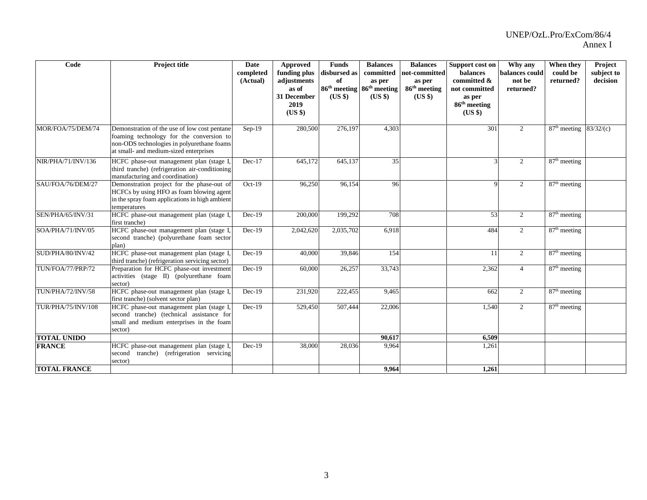| Code                      | Project title                                                                                                                                                                    | <b>Date</b><br>completed<br>(Actual) | Approved<br>funding plus<br>adjustments<br>as of<br>31 December<br>2019<br>(US \$) | <b>Funds</b><br>disbursed as<br>of<br>(US \$) | <b>Balances</b><br>committed<br>as per<br>86 <sup>th</sup> meeting 86 <sup>th</sup> meeting<br>$(US \$ | <b>Balances</b><br>not-committed<br>as per<br>$86th$ meeting<br>$(US \$ | Support cost on<br>balances<br>committed &<br>not committed<br>as per<br>86 <sup>th</sup> meeting<br>(USS) | Why any<br>balances could<br>not be<br>returned? | When they<br>could be<br>returned?    | Project<br>subject to<br>decision |
|---------------------------|----------------------------------------------------------------------------------------------------------------------------------------------------------------------------------|--------------------------------------|------------------------------------------------------------------------------------|-----------------------------------------------|--------------------------------------------------------------------------------------------------------|-------------------------------------------------------------------------|------------------------------------------------------------------------------------------------------------|--------------------------------------------------|---------------------------------------|-----------------------------------|
| MOR/FOA/75/DEM/74         | Demonstration of the use of low cost pentane<br>foaming technology for the conversion to<br>non-ODS technologies in polyurethane foams<br>at small- and medium-sized enterprises | $Sep-19$                             | 280,500                                                                            | 276,197                                       | 4,303                                                                                                  |                                                                         | 301                                                                                                        | 2                                                | $87th$ meeting                        | 83/32/(c)                         |
| NIR/PHA/71/INV/136        | HCFC phase-out management plan (stage I<br>third tranche) (refrigeration air-conditioning<br>manufacturing and coordination)                                                     | $Dec-17$                             | 645,172                                                                            | 645,137                                       | 35                                                                                                     |                                                                         |                                                                                                            | 2                                                | 87 <sup>th</sup> meeting              |                                   |
| SAU/FOA/76/DEM/27         | Demonstration project for the phase-out of<br>HCFCs by using HFO as foam blowing agent<br>in the spray foam applications in high ambient<br>temperatures                         | $Oct-19$                             | 96,250                                                                             | 96,154                                        | 96                                                                                                     |                                                                         |                                                                                                            | $\overline{2}$                                   | 87 <sup>th</sup> meeting              |                                   |
| SEN/PHA/65/INV/31         | HCFC phase-out management plan (stage I,<br>first tranche)                                                                                                                       | $Dec-19$                             | 200,000                                                                            | 199,292                                       | 708                                                                                                    |                                                                         | 53                                                                                                         | 2                                                | $\overline{87}$ <sup>th</sup> meeting |                                   |
| SOA/PHA/71/INV/05         | HCFC phase-out management plan (stage I,<br>second tranche) (polyurethane foam sector<br>plan)                                                                                   | $Dec-19$                             | 2,042,620                                                                          | 2,035,702                                     | 6,918                                                                                                  |                                                                         | 484                                                                                                        | $\overline{2}$                                   | $87th$ meeting                        |                                   |
| SUD/PHA/80/INV/42         | HCFC phase-out management plan (stage I<br>third tranche) (refrigeration servicing sector)                                                                                       | $Dec-19$                             | 40,000                                                                             | 39,846                                        | 154                                                                                                    |                                                                         | 11                                                                                                         | $\overline{2}$                                   | 87 <sup>th</sup> meeting              |                                   |
| TUN/FOA/77/PRP/72         | Preparation for HCFC phase-out investment<br>activities (stage II) (polyurethane foam<br>sector)                                                                                 | $Dec-19$                             | 60,000                                                                             | 26,257                                        | 33,743                                                                                                 |                                                                         | 2,362                                                                                                      | $\overline{4}$                                   | $87th$ meeting                        |                                   |
| TUN/PHA/72/INV/58         | HCFC phase-out management plan (stage I<br>first tranche) (solvent sector plan)                                                                                                  | $Dec-19$                             | 231,920                                                                            | 222,455                                       | 9,465                                                                                                  |                                                                         | 662                                                                                                        | $\overline{2}$                                   | $87th$ meeting                        |                                   |
| <b>TUR/PHA/75/INV/108</b> | HCFC phase-out management plan (stage I,<br>second tranche) (technical assistance for<br>small and medium enterprises in the foam<br>sector)                                     | $Dec-19$                             | 529,450                                                                            | $\overline{507,}444$                          | 22,006                                                                                                 |                                                                         | 1,540                                                                                                      | $\overline{2}$                                   | $87th$ meeting                        |                                   |
| <b>TOTAL UNIDO</b>        |                                                                                                                                                                                  |                                      |                                                                                    |                                               | 90,617                                                                                                 |                                                                         | 6,509                                                                                                      |                                                  |                                       |                                   |
| <b>FRANCE</b>             | HCFC phase-out management plan (stage I,<br>tranche) (refrigeration servicing<br>second<br>sector)                                                                               | $Dec-19$                             | 38,000                                                                             | 28,036                                        | 9,964                                                                                                  |                                                                         | 1,261                                                                                                      |                                                  |                                       |                                   |
| <b>TOTAL FRANCE</b>       |                                                                                                                                                                                  |                                      |                                                                                    |                                               | 9,964                                                                                                  |                                                                         | 1,261                                                                                                      |                                                  |                                       |                                   |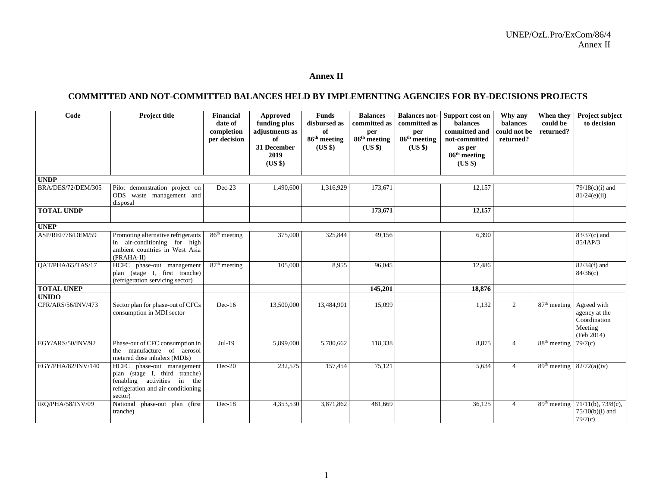## **Annex II**

## **COMMITTED AND NOT-COMMITTED BALANCES HELD BY IMPLEMENTING AGENCIES FOR BY-DECISIONS PROJECTS**

| Code               | <b>Project title</b>                                                                                                                       | <b>Financial</b><br>date of<br>completion<br>per decision | Approved<br>funding plus<br>adjustments as<br>of<br>31 December<br>2019<br>(US \$) | <b>Funds</b><br>disbursed as<br>of<br>86 <sup>th</sup> meeting<br>$(US \$ | <b>Balances</b><br>committed as<br>per<br>86 <sup>th</sup> meeting<br>$(US \$ | committed as<br>per<br>86 <sup>th</sup> meeting<br>$(US \$ | <b>Balances not-</b> Support cost on<br><b>balances</b><br>committed and<br>not-committed<br>as per<br>86 <sup>th</sup> meeting<br>$(US \$ | Why any<br>balances<br>could not be<br>returned? | When they<br>could be<br>returned?    | Project subject<br>to decision                                        |
|--------------------|--------------------------------------------------------------------------------------------------------------------------------------------|-----------------------------------------------------------|------------------------------------------------------------------------------------|---------------------------------------------------------------------------|-------------------------------------------------------------------------------|------------------------------------------------------------|--------------------------------------------------------------------------------------------------------------------------------------------|--------------------------------------------------|---------------------------------------|-----------------------------------------------------------------------|
| <b>UNDP</b>        |                                                                                                                                            |                                                           |                                                                                    |                                                                           |                                                                               |                                                            |                                                                                                                                            |                                                  |                                       |                                                                       |
| BRA/DES/72/DEM/305 | Pilot demonstration project on<br>ODS waste management and<br>disposal                                                                     | $Dec-23$                                                  | 1,490,600                                                                          | 1,316,929                                                                 | 173,671                                                                       |                                                            | 12,157                                                                                                                                     |                                                  |                                       | $79/18(c)(i)$ and<br>81/24(e)(ii)                                     |
| <b>TOTAL UNDP</b>  |                                                                                                                                            |                                                           |                                                                                    |                                                                           | 173,671                                                                       |                                                            | 12,157                                                                                                                                     |                                                  |                                       |                                                                       |
| <b>UNEP</b>        |                                                                                                                                            |                                                           |                                                                                    |                                                                           |                                                                               |                                                            |                                                                                                                                            |                                                  |                                       |                                                                       |
| ASP/REF/76/DEM/59  | Promoting alternative refrigerants<br>in air-conditioning for high<br>ambient countries in West Asia<br>(PRAHA-II)                         | $86th$ meeting                                            | 375,000                                                                            | 325,844                                                                   | 49,156                                                                        |                                                            | 6,390                                                                                                                                      |                                                  |                                       | $83/37(c)$ and<br>85/IAP/3                                            |
| OAT/PHA/65/TAS/17  | HCFC phase-out management<br>plan (stage I, first tranche)<br>(refrigeration servicing sector)                                             | $87th$ meeting                                            | 105,000                                                                            | 8,955                                                                     | 96,045                                                                        |                                                            | 12,486                                                                                                                                     |                                                  |                                       | $82/34(f)$ and<br>84/36(c)                                            |
| <b>TOTAL UNEP</b>  |                                                                                                                                            |                                                           |                                                                                    |                                                                           | 145,201                                                                       |                                                            | 18,876                                                                                                                                     |                                                  |                                       |                                                                       |
| <b>UNIDO</b>       |                                                                                                                                            |                                                           |                                                                                    |                                                                           |                                                                               |                                                            |                                                                                                                                            |                                                  |                                       |                                                                       |
| CPR/ARS/56/INV/473 | Sector plan for phase-out of CFCs<br>consumption in MDI sector                                                                             | $Dec-16$                                                  | 13,500,000                                                                         | 13,484,901                                                                | 15,099                                                                        |                                                            | 1,132                                                                                                                                      | 2                                                | $87th$ meeting                        | Agreed with<br>agency at the<br>Coordination<br>Meeting<br>(Feb 2014) |
| EGY/ARS/50/INV/92  | Phase-out of CFC consumption in<br>the manufacture of aerosol<br>metered dose inhalers (MDIs)                                              | $Jul-19$                                                  | 5,899,000                                                                          | 5,780,662                                                                 | 118,338                                                                       |                                                            | 8,875                                                                                                                                      | $\overline{4}$                                   | $88th$ meeting                        | 79/7(c)                                                               |
| EGY/PHA/82/INV/140 | HCFC phase-out management<br>plan (stage I, third tranche)<br>(enabling activities in the<br>refrigeration and air-conditioning<br>sector) | $Dec-20$                                                  | 232,575                                                                            | 157,454                                                                   | 75,121                                                                        |                                                            | 5,634                                                                                                                                      | $\overline{4}$                                   | 89 <sup>th</sup> meeting              | 82/72(a)(iv)                                                          |
| IRO/PHA/58/INV/09  | National phase-out plan (first<br>tranche)                                                                                                 | $Dec-18$                                                  | 4,353,530                                                                          | 3,871,862                                                                 | 481.669                                                                       |                                                            | 36,125                                                                                                                                     | $\overline{4}$                                   | $\overline{89}$ <sup>th</sup> meeting | $71/11(b)$ , $73/8(c)$ ,<br>$75/10(b)(i)$ and<br>79/7(c)              |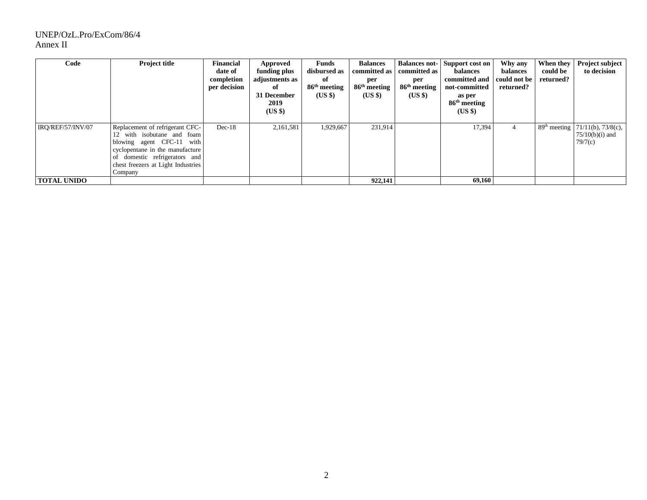## UNEP/OzL.Pro/ExCom/86/4 Annex II

| Code               | <b>Project title</b>                                                                                                                                                                                               | <b>Financial</b><br>date of<br>completion<br>per decision | Approved<br>funding plus<br>adjustments as<br>of<br>31 December<br>2019<br>$(US \$ | Funds<br>disbursed as<br>of<br>$86^{\rm th}$ meeting<br>(US \$) | <b>Balances</b><br>committed as<br>per<br>86 <sup>th</sup> meeting<br>$(US \$ | committed as<br>per<br>86 <sup>th</sup> meeting<br>(US \$) | <b>Balances not-</b> Support cost on<br>balances<br>committed and<br>not-committed<br>as per<br>86 <sup>th</sup> meeting<br>(USS) | Why any<br>balances<br>could not be<br>returned? | When they<br>could be<br>returned? | Project subject<br>to decision                                              |
|--------------------|--------------------------------------------------------------------------------------------------------------------------------------------------------------------------------------------------------------------|-----------------------------------------------------------|------------------------------------------------------------------------------------|-----------------------------------------------------------------|-------------------------------------------------------------------------------|------------------------------------------------------------|-----------------------------------------------------------------------------------------------------------------------------------|--------------------------------------------------|------------------------------------|-----------------------------------------------------------------------------|
| IRO/REF/57/INV/07  | Replacement of refrigerant CFC-<br>with isobutane and foam<br>12<br>blowing agent CFC-11 with<br>cyclopentane in the manufacture<br>of domestic refrigerators and<br>chest freezers at Light Industries<br>Company | $Dec-18$                                                  | 2,161,581                                                                          | 1,929,667                                                       | 231.914                                                                       |                                                            | 17,394                                                                                                                            | 4                                                |                                    | 89 <sup>th</sup> meeting 71/11(b), 73/8(c),<br>$75/10(b)(i)$ and<br>79/7(c) |
| <b>TOTAL UNIDO</b> |                                                                                                                                                                                                                    |                                                           |                                                                                    |                                                                 | 922,141                                                                       |                                                            | 69,160                                                                                                                            |                                                  |                                    |                                                                             |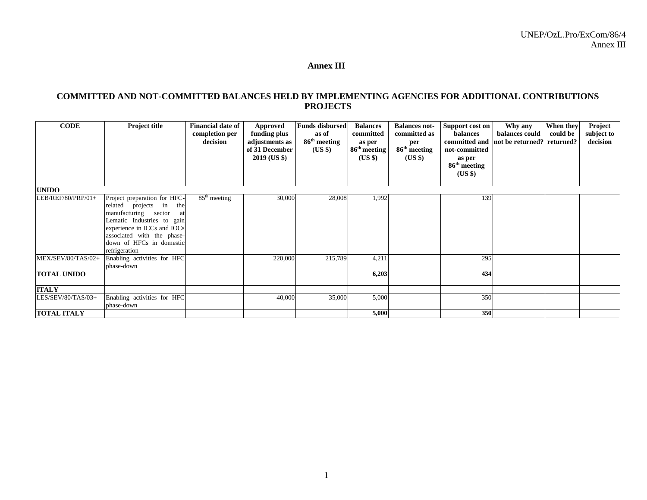## **Annex III**

## **COMMITTED AND NOT-COMMITTED BALANCES HELD BY IMPLEMENTING AGENCIES FOR ADDITIONAL CONTRIBUTIONS PROJECTS**

| <b>CODE</b>        | Project title                                                                                                                                                                                                                 | <b>Financial date of</b><br>completion per<br>decision | Approved<br>funding plus<br>adjustments as<br>of 31 December<br>2019 (US \$) | <b>Funds disbursed</b><br>as of<br>86 <sup>th</sup> meeting<br>$(US \$ | <b>Balances</b><br>committed<br>as per<br>86 <sup>th</sup> meeting<br>(US \$) | <b>Balances not-</b><br>committed as<br>per<br>86 <sup>th</sup> meeting<br>$(US \$ | Support cost on<br>balances<br>committed and<br>not-committed<br>as per<br>86 <sup>th</sup> meeting<br>$(US \$ | Why any<br>balances could<br>not be returned? | When they<br>could be<br>returned? | Project<br>subject to<br>decision |
|--------------------|-------------------------------------------------------------------------------------------------------------------------------------------------------------------------------------------------------------------------------|--------------------------------------------------------|------------------------------------------------------------------------------|------------------------------------------------------------------------|-------------------------------------------------------------------------------|------------------------------------------------------------------------------------|----------------------------------------------------------------------------------------------------------------|-----------------------------------------------|------------------------------------|-----------------------------------|
| <b>UNIDO</b>       |                                                                                                                                                                                                                               |                                                        |                                                                              |                                                                        |                                                                               |                                                                                    |                                                                                                                |                                               |                                    |                                   |
| LEB/REF/80/PRP/01+ | Project preparation for HFC-<br>related projects in the<br>manufacturing sector<br>at<br>Lematic Industries to gain<br>experience in ICCs and IOCs<br>associated with the phase-<br>down of HFCs in domestic<br>refrigeration | $85th$ meeting                                         | 30,000                                                                       | 28,008                                                                 | 1,992                                                                         |                                                                                    | 139                                                                                                            |                                               |                                    |                                   |
| MEX/SEV/80/TAS/02+ | Enabling activities for HFC<br>phase-down                                                                                                                                                                                     |                                                        | 220,000                                                                      | 215,789                                                                | 4,211                                                                         |                                                                                    | 295                                                                                                            |                                               |                                    |                                   |
| <b>TOTAL UNIDO</b> |                                                                                                                                                                                                                               |                                                        |                                                                              |                                                                        | 6,203                                                                         |                                                                                    | 434                                                                                                            |                                               |                                    |                                   |
| <b>ITALY</b>       |                                                                                                                                                                                                                               |                                                        |                                                                              |                                                                        |                                                                               |                                                                                    |                                                                                                                |                                               |                                    |                                   |
| LES/SEV/80/TAS/03+ | Enabling activities for HFC<br>phase-down                                                                                                                                                                                     |                                                        | 40,000                                                                       | 35,000                                                                 | 5,000                                                                         |                                                                                    | 350                                                                                                            |                                               |                                    |                                   |
| <b>TOTAL ITALY</b> |                                                                                                                                                                                                                               |                                                        |                                                                              |                                                                        | 5,000                                                                         |                                                                                    | 350                                                                                                            |                                               |                                    |                                   |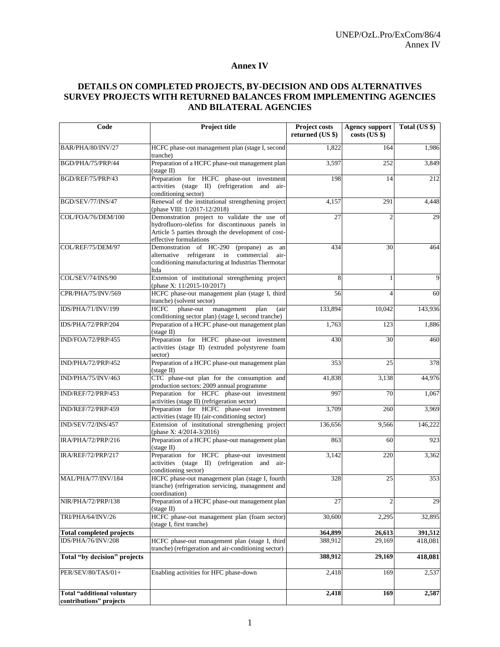#### **Annex IV**

## **DETAILS ON COMPLETED PROJECTS, BY-DECISION AND ODS ALTERNATIVES SURVEY PROJECTS WITH RETURNED BALANCES FROM IMPLEMENTING AGENCIES AND BILATERAL AGENCIES**

| Code                               | <b>Project title</b>                                                                                                                                                            | Project costs<br>returned (US \$) | Agency support<br>$costs$ (US $$$ ) | Total (US \$)    |
|------------------------------------|---------------------------------------------------------------------------------------------------------------------------------------------------------------------------------|-----------------------------------|-------------------------------------|------------------|
| BAR/PHA/80/INV/27                  | HCFC phase-out management plan (stage I, second<br>tranche)                                                                                                                     | 1.822                             | 164                                 | 1,986            |
| BGD/PHA/75/PRP/44                  | Preparation of a HCFC phase-out management plan<br>$(s \text{tage} \Pi)$                                                                                                        | 3,597                             | 252                                 | 3,849            |
| BGD/REF/75/PRP/43                  | Preparation for HCFC phase-out investment<br>activities (stage II) (refrigeration and air-<br>conditioning sector)                                                              | 198                               | 14                                  | $\overline{2}12$ |
| BGD/SEV/77/INS/47                  | Renewal of the institutional strengthening project<br>(phase VIII: 1/2017-12/2018)                                                                                              | 4,157                             | 291                                 | 4,448            |
| COL/FOA/76/DEM/100                 | Demonstration project to validate the use of<br>hydrofluoro-olefins for discontinuous panels in<br>Article 5 parties through the development of cost-<br>effective formulations | 27                                | $\overline{2}$                      | 29               |
| COL/REF/75/DEM/97                  | Demonstration of HC-290<br>(propane) as an<br>alternative refrigerant in<br>commercial<br>air-<br>conditioning manufacturing at Industrias Thermotar<br>ltda                    | 434                               | 30                                  | 464              |
| COL/SEV/74/INS/90                  | Extension of institutional strengthening project<br>(phase X: 11/2015-10/2017)                                                                                                  | 8                                 | 1                                   | 9                |
| CPR/PHA/75/INV/569                 | HCFC phase-out management plan (stage I, third<br>tranche) (solvent sector)                                                                                                     | 56                                | 4                                   | 60               |
| IDS/PHA/71/INV/199                 | phase-out management<br>HCFC<br>plan<br>(a <sup>i</sup> )<br>conditioning sector plan) (stage I, second tranche)                                                                | 133,894                           | 10,042                              | 143,936          |
| IDS/PHA/72/PRP/204                 | Preparation of a HCFC phase-out management plan<br>$(s \text{tage} \Pi)$                                                                                                        | 1,763                             | 123                                 | 1.886            |
| IND/FOA/72/PRP/455                 | Preparation for HCFC phase-out investment<br>activities (stage II) (extruded polystyrene foam<br>sector)                                                                        | 430                               | 30                                  | 460              |
| IND/PHA/72/PRP/452                 | Preparation of a HCFC phase-out management plan<br>$(\text{stage II})$                                                                                                          | 353                               | 25                                  | 378              |
| IND/PHA/75/INV/463                 | CTC phase-out plan for the consumption and<br>production sectors: 2009 annual programme                                                                                         | 41,838                            | 3,138                               | 44,976           |
| IND/REF/72/PRP/453                 | Preparation for HCFC phase-out investment<br>activities (stage II) (refrigeration sector)                                                                                       | 997                               | 70                                  | 1,067            |
| IND/REF/72/PRP/459                 | Preparation for HCFC phase-out investment<br>activities (stage II) (air-conditioning sector)                                                                                    | 3,709                             | 260                                 | 3,969            |
| IND/SEV/72/INS/457                 | Extension of institutional strengthening project<br>(phase X: 4/2014-3/2016)                                                                                                    | 136,656                           | 9,566                               | 146,222          |
| IRA/PHA/72/PRP/216                 | Preparation of a HCFC phase-out management plan<br>$(s \text{tage} \Pi)$                                                                                                        | 863                               | 60                                  | 923              |
| IRA/REF/72/PRP/217                 | Preparation for HCFC phase-out investment<br>activities (stage II) (refrigeration and air-<br>conditioning sector)                                                              | 3.142                             | 220                                 | 3,362            |
| MAL/PHA/77/INV/184                 | HCFC phase-out management plan (stage I, fourth<br>tranche) (refrigeration servicing, management and<br>coordination)                                                           | 328                               | 25                                  | 353              |
| NIR/PHA/72/PRP/138                 | Preparation of a HCFC phase-out management plan<br>$(s \text{tage} \Pi)$                                                                                                        | 27                                | 2                                   | 29               |
| TRI/PHA/64/INV/26                  | HCFC phase-out management plan (foam sector)<br>(stage I, first tranche)                                                                                                        | 30,600                            | 2,295                               | 32,895           |
| <b>Total completed projects</b>    |                                                                                                                                                                                 | 364,899                           | 26,613                              | 391,512          |
| IDS/PHA/76/INV/208                 | HCFC phase-out management plan (stage I, third<br>tranche) (refrigeration and air-conditioning sector)                                                                          | 388,912                           | 29,169                              | 418,081          |
| Total "by decision" projects       |                                                                                                                                                                                 | 388,912                           | 29,169                              | 418,081          |
| PER/SEV/80/TAS/01+                 | Enabling activities for HFC phase-down                                                                                                                                          | 2,418                             | 169                                 | 2,537            |
| <b>Total "additional voluntary</b> |                                                                                                                                                                                 | 2,418                             | 169                                 | 2,587            |
| contributions" projects            |                                                                                                                                                                                 |                                   |                                     |                  |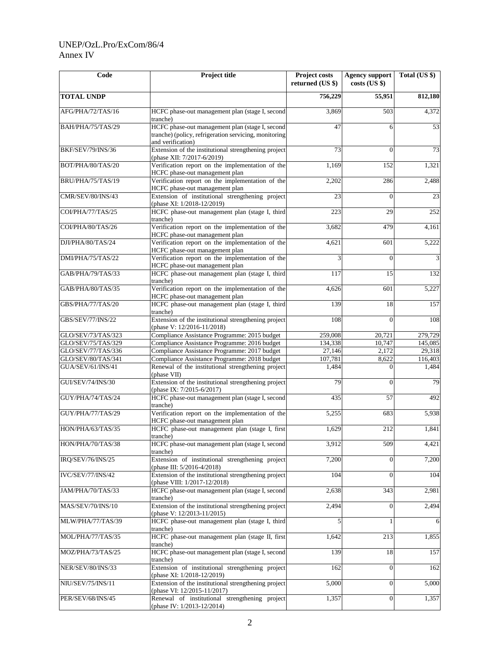## UNEP/OzL.Pro/ExCom/86/4 Annex IV

| Code                     | Project title                                                                                                                                                                                                                                                                    | Project costs<br>returned (US \$) | Agency support<br>$costs$ (US $\})$ | Total (US \$)           |
|--------------------------|----------------------------------------------------------------------------------------------------------------------------------------------------------------------------------------------------------------------------------------------------------------------------------|-----------------------------------|-------------------------------------|-------------------------|
| <b>TOTAL UNDP</b>        |                                                                                                                                                                                                                                                                                  | 756,229                           | 55,951                              | 812,180                 |
| AFG/PHA/72/TAS/16        | HCFC phase-out management plan (stage I, second<br>tranche)                                                                                                                                                                                                                      | 3,869                             | 503                                 | 4,372                   |
| BAH/PHA/75/TAS/29        | HCFC phase-out management plan (stage I, second<br>tranche) (policy, refrigeration servicing, monitoring<br>and verification)                                                                                                                                                    | 47                                | 6                                   | 53                      |
| BKF/SEV/79/INS/36        | Extension of the institutional strengthening project<br>(phase XII: 7/2017-6/2019)                                                                                                                                                                                               | 73                                | $\Omega$                            | 73                      |
| BOT/PHA/80/TAS/20        | Verification report on the implementation of the<br>HCFC phase-out management plan                                                                                                                                                                                               | 1,169                             | 152                                 | 1,321                   |
| BRU/PHA/75/TAS/19        | Verification report on the implementation of the<br>HCFC phase-out management plan                                                                                                                                                                                               | 2,202                             | 286                                 | 2,488                   |
| CMR/SEV/80/INS/43        | Extension of institutional strengthening project<br>(phase XI: 1/2018-12/2019)                                                                                                                                                                                                   | 23                                | $\Omega$                            | $\overline{23}$         |
| COI/PHA/77/TAS/25        | HCFC phase-out management plan (stage I, third<br>tranche)                                                                                                                                                                                                                       | 223                               | 29                                  | 252                     |
| COI/PHA/80/TAS/26        | Verification report on the implementation of the<br>HCFC phase-out management plan                                                                                                                                                                                               | 3,682                             | 479                                 | 4,161                   |
| DJI/PHA/80/TAS/24        | Verification report on the implementation of the<br>HCFC phase-out management plan                                                                                                                                                                                               | 4,621                             | 601                                 | 5,222                   |
| DMI/PHA/75/TAS/22        | Verification report on the implementation of the<br>HCFC phase-out management plan                                                                                                                                                                                               | 3                                 | $\Omega$                            | $\overline{\mathbf{3}}$ |
| GAB/PHA/79/TAS/33        | HCFC phase-out management plan (stage I, third<br>tranche)                                                                                                                                                                                                                       | 117                               | 15                                  | 132                     |
| GAB/PHA/80/TAS/35        | Verification report on the implementation of the<br>HCFC phase-out management plan                                                                                                                                                                                               | 4,626                             | 601                                 | 5,227                   |
| GBS/PHA/77/TAS/20        | HCFC phase-out management plan (stage I, third<br>tranche)                                                                                                                                                                                                                       | 139                               | 18                                  | 157                     |
| GBS/SEV/77/INS/22        | Extension of the institutional strengthening project<br>(phase V: 12/2016-11/2018)                                                                                                                                                                                               | 108                               | $\theta$                            | 108                     |
| GLO/SEV/73/TAS/323       | Compliance Assistance Programme: 2015 budget                                                                                                                                                                                                                                     | 259,008                           | 20,721                              | 279,729                 |
| GLO/SEV/75/TAS/329       | Compliance Assistance Programme: 2016 budget                                                                                                                                                                                                                                     | 134,338                           | 10,747                              | 145,085                 |
| GLO/SEV/77/TAS/336       | Compliance Assistance Programme: 2017 budget                                                                                                                                                                                                                                     | 27,146                            | 2,172                               | 29,318                  |
| GLO/SEV/80/TAS/341       | Compliance Assistance Programme: 2018 budget                                                                                                                                                                                                                                     | 107,781                           | 8,622                               | 116,403                 |
| GUA/SEV/61/INS/41        | Renewal of the institutional strengthening project<br>(phase VII)                                                                                                                                                                                                                | 1,484                             | $\Omega$                            | 1,484                   |
| <b>GUI/SEV/74/INS/30</b> | Extension of the institutional strengthening project<br>(phase IX: 7/2015-6/2017)                                                                                                                                                                                                | 79                                | $\overline{0}$                      | 79                      |
| GUY/PHA/74/TAS/24        | HCFC phase-out management plan (stage I, second<br>tranche)                                                                                                                                                                                                                      | 435                               | 57                                  | 492                     |
| GUY/PHA/77/TAS/29        | Verification report on the implementation of the<br>HCFC phase-out management plan                                                                                                                                                                                               | 5,255                             | 683                                 | 5,938                   |
| HON/PHA/63/TAS/35        | HCFC phase-out management plan (stage I, first<br>tranche) transference to the contract of the contract of the contract of the contract of the contract of the contract of the contract of the contract of the contract of the contract of the contract of the contract of the c | 1,629                             | 212                                 | 1,841                   |
| HON/PHA/70/TAS/38        | HCFC phase-out management plan (stage I, second<br>tranche)                                                                                                                                                                                                                      | 3,912                             | 509                                 | 4,421                   |
| IRQ/SEV/76/INS/25        | Extension of institutional strengthening project<br>(phase III: 5/2016-4/2018)                                                                                                                                                                                                   | 7,200                             | $\mathbf{0}$                        | 7,200                   |
| IVC/SEV/77/INS/42        | Extension of the institutional strengthening project<br>(phase VIII: 1/2017-12/2018)                                                                                                                                                                                             | 104                               | $\Omega$                            | 104                     |
| JAM/PHA/70/TAS/33        | HCFC phase-out management plan (stage I, second<br>tranche)                                                                                                                                                                                                                      | 2,638                             | 343                                 | 2,981                   |
| MAS/SEV/70/INS/10        | Extension of the institutional strengthening project<br>(phase V: 12/2013-11/2015)                                                                                                                                                                                               | 2,494                             | $\mathbf{0}$                        | 2,494                   |
| MLW/PHA/77/TAS/39        | HCFC phase-out management plan (stage I, third<br>tranche)                                                                                                                                                                                                                       | 5                                 | 1                                   | 6                       |
| MOL/PHA/77/TAS/35        | HCFC phase-out management plan (stage II, first<br>tranche)                                                                                                                                                                                                                      | 1,642                             | 213                                 | 1,855                   |
| MOZ/PHA/73/TAS/25        | HCFC phase-out management plan (stage I, second<br>tranche)                                                                                                                                                                                                                      | 139                               | 18                                  | 157                     |
| NER/SEV/80/INS/33        | Extension of institutional strengthening project<br>(phase XI: 1/2018-12/2019)                                                                                                                                                                                                   | 162                               | $\mathbf{0}$                        | 162                     |
| NIU/SEV/75/INS/11        | Extension of the institutional strengthening project<br>(phase VI: 12/2015-11/2017)                                                                                                                                                                                              | 5,000                             | $\mathbf{0}$                        | 5,000                   |
| PER/SEV/68/INS/45        | Renewal of institutional strengthening project<br>(phase IV: 1/2013-12/2014)                                                                                                                                                                                                     | 1,357                             | $\overline{0}$                      | 1,357                   |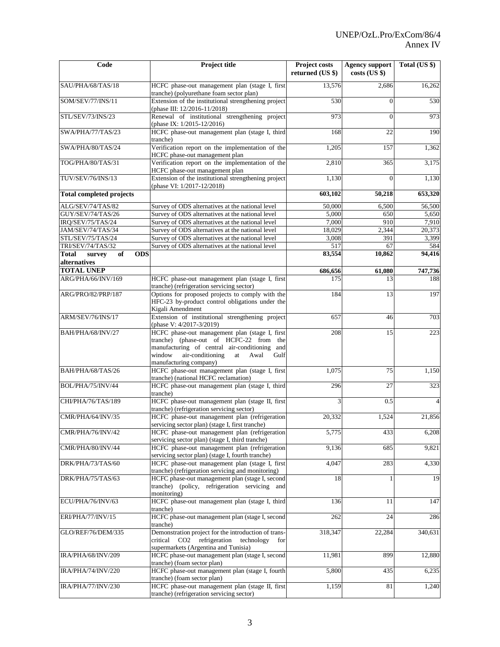| Code                                                | Project title                                                                                                                                                                                                               | Project costs<br>returned (US \$) | <b>Agency support</b><br>$costs$ (US $\})$ | Total (US \$) |
|-----------------------------------------------------|-----------------------------------------------------------------------------------------------------------------------------------------------------------------------------------------------------------------------------|-----------------------------------|--------------------------------------------|---------------|
| SAU/PHA/68/TAS/18                                   | HCFC phase-out management plan (stage I, first                                                                                                                                                                              | 13,576                            | 2,686                                      | 16,262        |
| SOM/SEV/77/INS/11                                   | tranche) (polyurethane foam sector plan)<br>Extension of the institutional strengthening project<br>(phase III: 12/2016-11/2018)                                                                                            | 530                               | $\Omega$                                   | 530           |
| STL/SEV/73/INS/23                                   | Renewal of institutional strengthening project<br>(phase IX: $1/2015 - 12/2016$ )                                                                                                                                           | 973                               | $\theta$                                   | 973           |
| SWA/PHA/77/TAS/23                                   | HCFC phase-out management plan (stage I, third<br>tranche)                                                                                                                                                                  | 168                               | 22                                         | 190           |
| SWA/PHA/80/TAS/24                                   | Verification report on the implementation of the<br>HCFC phase-out management plan                                                                                                                                          | 1,205                             | 157                                        | 1,362         |
| TOG/PHA/80/TAS/31                                   | Verification report on the implementation of the<br>HCFC phase-out management plan                                                                                                                                          | 2,810                             | 365                                        | 3,175         |
| TUV/SEV/76/INS/13                                   | Extension of the institutional strengthening project<br>(phase VI: 1/2017-12/2018)                                                                                                                                          | 1,130                             | $\theta$                                   | 1,130         |
| <b>Total completed projects</b>                     |                                                                                                                                                                                                                             | 603,102                           | 50,218                                     | 653,320       |
| ALG/SEV/74/TAS/82                                   | Survey of ODS alternatives at the national level                                                                                                                                                                            | 50,000                            | 6,500                                      | 56,500        |
| GUY/SEV/74/TAS/26                                   | Survey of ODS alternatives at the national level                                                                                                                                                                            | 5.000                             | 650                                        | 5,650         |
| IRO/SEV/75/TAS/24                                   | Survey of ODS alternatives at the national level                                                                                                                                                                            | 7,000                             | 910                                        | 7,910         |
| JAM/SEV/74/TAS/34                                   | Survey of ODS alternatives at the national level                                                                                                                                                                            | 18,029                            | 2,344                                      | 20,373        |
| STL/SEV/75/TAS/24                                   | Survey of ODS alternatives at the national level                                                                                                                                                                            | 3,008                             | 391                                        | 3,399         |
| TRI/SEV/74/TAS/32                                   | Survey of ODS alternatives at the national level                                                                                                                                                                            | 517                               | 67                                         | 584           |
| <b>ODS</b><br>Total<br>of<br>survey<br>alternatives |                                                                                                                                                                                                                             | 83,554                            | 10,862                                     | 94,416        |
| <b>TOTAL UNEP</b>                                   |                                                                                                                                                                                                                             | 686,656                           | 61,080                                     | 747,736       |
| ARG/PHA/66/INV/169                                  | HCFC phase-out management plan (stage I, first<br>tranche) (refrigeration servicing sector)                                                                                                                                 | 175                               | 13                                         | 188           |
| ARG/PRO/82/PRP/187                                  | Options for proposed projects to comply with the<br>HFC-23 by-product control obligations under the                                                                                                                         | 184                               | 13                                         | 197           |
| ARM/SEV/76/INS/17                                   | Kigali Amendment<br>Extension of institutional strengthening project<br>(phase V: 4/2017-3/2019)                                                                                                                            | 657                               | 46                                         | 703           |
| BAH/PHA/68/INV/27                                   | HCFC phase-out management plan (stage I, first<br>tranche) (phase-out of HCFC-22 from<br>the<br>manufacturing of central air-conditioning and<br>air-conditioning<br>window<br>Awal<br>Gulf<br>at<br>manufacturing company) | 208                               | 15                                         | 223           |
| BAH/PHA/68/TAS/26                                   | HCFC phase-out management plan (stage I, first<br>tranche) (national HCFC reclamation)                                                                                                                                      | 1,075                             | 75                                         | 1,150         |
| BOL/PHA/75/INV/44                                   | HCFC phase-out management plan (stage I, third<br>tranche)                                                                                                                                                                  | 296                               | $\overline{27}$                            | 323           |
| CHI/PHA/76/TAS/189                                  | HCFC phase-out management plan (stage II, first<br>tranche) (refrigeration servicing sector)                                                                                                                                | 3                                 | 0.5                                        |               |
| CMR/PHA/64/INV/35                                   | HCFC phase-out management plan (refrigeration<br>servicing sector plan) (stage I, first tranche)                                                                                                                            | 20,332                            | 1,524                                      | 21,856        |
| CMR/PHA/76/INV/42                                   | HCFC phase-out management plan (refrigeration<br>servicing sector plan) (stage I, third tranche)                                                                                                                            | 5,775                             | 433                                        | 6,208         |
| CMR/PHA/80/INV/44                                   | HCFC phase-out management plan (refrigeration<br>servicing sector plan) (stage I, fourth tranche)                                                                                                                           | 9,136                             | 685                                        | 9,821         |
| DRK/PHA/73/TAS/60                                   | HCFC phase-out management plan (stage I, first<br>tranche) (refrigeration servicing and monitoring)                                                                                                                         | 4,047                             | 283                                        | 4,330         |
| DRK/PHA/75/TAS/63                                   | HCFC phase-out management plan (stage I, second<br>tranche) (policy, refrigeration servicing and<br>monitoring)                                                                                                             | 18                                |                                            | 19            |
| ECU/PHA/76/INV/63                                   | HCFC phase-out management plan (stage I, third<br>tranche)                                                                                                                                                                  | 136                               | 11                                         | 147           |
| ERI/PHA/77/INV/15                                   | HCFC phase-out management plan (stage I, second<br>tranche)                                                                                                                                                                 | 262                               | 24                                         | 286           |
| GLO/REF/76/DEM/335                                  | Demonstration project for the introduction of trans-<br>critical CO2 refrigeration<br>technology<br>for<br>supermarkets (Argentina and Tunisia)                                                                             | 318,347                           | 22,284                                     | 340,631       |
| IRA/PHA/68/INV/209                                  | HCFC phase-out management plan (stage I, second<br>tranche) (foam sector plan)                                                                                                                                              | 11,981                            | 899                                        | 12,880        |
| IRA/PHA/74/INV/220                                  | HCFC phase-out management plan (stage I, fourth                                                                                                                                                                             | 5,800                             | 435                                        | 6,235         |
| IRA/PHA/77/INV/230                                  | tranche) (foam sector plan)<br>HCFC phase-out management plan (stage II, first<br>tranche) (refrigeration servicing sector)                                                                                                 | 1,159                             | 81                                         | 1,240         |